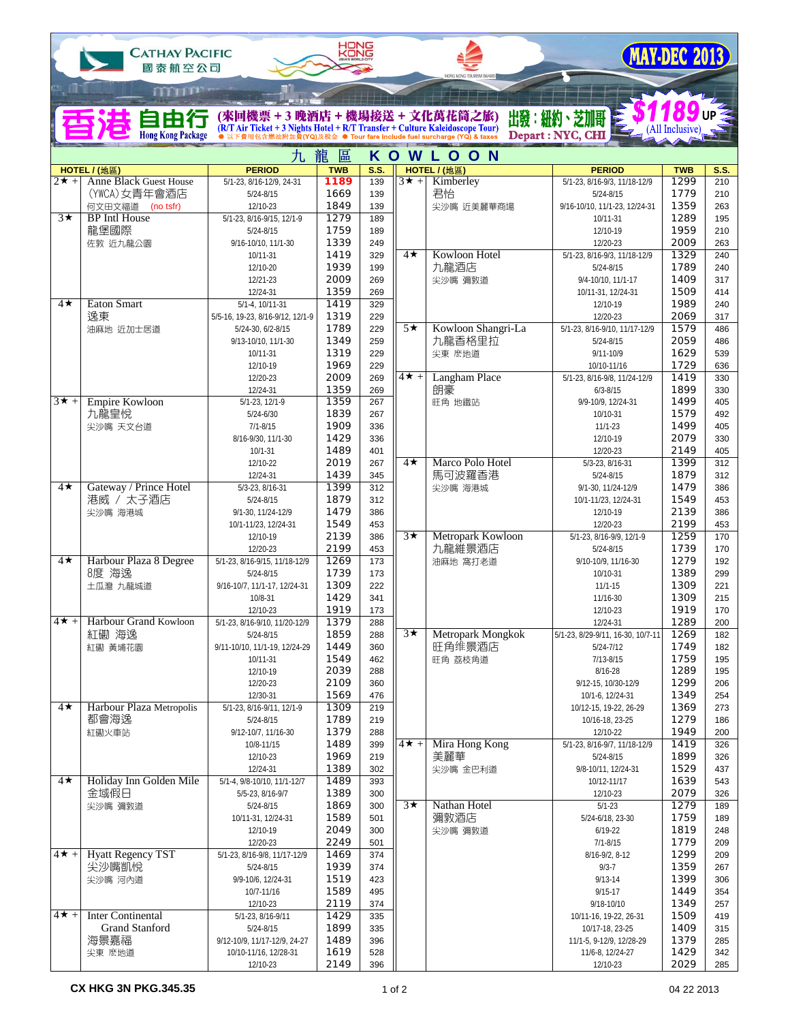| <b>CATHAY PACIFIC</b><br>國泰航空公司 |                                               |                                                                                                                 | HONG               |             |                          |                                                 |                                                | MAY-DEC 2013       |                    |  |
|---------------------------------|-----------------------------------------------|-----------------------------------------------------------------------------------------------------------------|--------------------|-------------|--------------------------|-------------------------------------------------|------------------------------------------------|--------------------|--------------------|--|
|                                 | mm                                            |                                                                                                                 |                    |             |                          | MONO MONO TOX RESN BOARD                        |                                                |                    |                    |  |
|                                 | 自由行<br><b>Hong Kong Package</b>               | (來回機票 + 3 晩酒店 + 機場接送 + 文化萬花筒之旅)<br>(R/T Air Ticket + 3 Nights Hotel + R/T Transfer + Culture Kaleidoscope Tour) |                    |             |                          | ● Tour fare include fuel surcharge (YQ) & taxes | 出發:紐約、芝加哥<br>Depart: NYC, CHI                  | (All Inclusive)    |                    |  |
| 九                               |                                               |                                                                                                                 | 龍<br>區             |             |                          | KOWLOON                                         |                                                |                    |                    |  |
| $2\star$ +                      | HOTEL / (地區)<br><b>Anne Black Guest House</b> | <b>PERIOD</b><br>5/1-23, 8/16-12/9, 24-31                                                                       | <b>TWB</b><br>1189 | S.S.<br>139 | $3\star +$               | HOTEL / (地區)<br>Kimberley                       | <b>PERIOD</b><br>5/1-23, 8/16-9/3, 11/18-12/9  | <b>TWB</b><br>1299 | <b>S.S.</b><br>210 |  |
|                                 | (YWCA)女青年會酒店                                  | $5/24 - 8/15$                                                                                                   | 1669               | 139         |                          | 君怡                                              | $5/24 - 8/15$                                  | 1779               | 210                |  |
| $3\star$                        | 何文田文福道 (no tsfr)<br><b>BP</b> Intl House      | 12/10-23<br>5/1-23, 8/16-9/15, 12/1-9                                                                           | 1849<br>1279       | 139<br>189  |                          | 尖沙嘴 近美麗華商場                                      | 9/16-10/10, 11/1-23, 12/24-31<br>10/11-31      | 1359<br>1289       | 263<br>195         |  |
|                                 | 龍堡國際                                          | $5/24 - 8/15$                                                                                                   | 1759               | 189         |                          |                                                 | 12/10-19                                       | 1959               | 210                |  |
|                                 | 佐敦 近九龍公園                                      | 9/16-10/10, 11/1-30<br>10/11-31                                                                                 | 1339<br>1419       | 249<br>329  | $4\star$                 | Kowloon Hotel                                   | 12/20-23<br>5/1-23, 8/16-9/3, 11/18-12/9       | 2009<br>1329       | 263<br>240         |  |
|                                 |                                               | 12/10-20                                                                                                        | 1939               | 199         |                          | 九龍酒店                                            | $5/24 - 8/15$                                  | 1789               | 240                |  |
|                                 |                                               | 12/21-23                                                                                                        | 2009               | 269         |                          | 尖沙嘴 彌敦道                                         | 9/4-10/10, 11/1-17                             | 1409               | 317                |  |
| 4★                              | <b>Eaton Smart</b>                            | 12/24-31<br>$5/1-4, 10/11-31$                                                                                   | 1359<br>1419       | 269<br>329  |                          |                                                 | 10/11-31, 12/24-31<br>12/10-19                 | 1509<br>1989       | 414<br>240         |  |
|                                 | 逸東                                            | 5/5-16, 19-23, 8/16-9/12, 12/1-9                                                                                | 1319               | 229         |                          |                                                 | 12/20-23                                       | 2069               | 317                |  |
|                                 | 油麻地 近加士居道                                     | 5/24-30, 6/2-8/15<br>9/13-10/10, 11/1-30                                                                        | 1789<br>1349       | 229<br>259  | $5\star$                 | Kowloon Shangri-La<br>九龍香格里拉                    | 5/1-23, 8/16-9/10, 11/17-12/9<br>$5/24 - 8/15$ | 1579<br>2059       | 486<br>486         |  |
|                                 |                                               | 10/11-31                                                                                                        | 1319               | 229         |                          | 尖東 麼地道                                          | $9/11 - 10/9$                                  | 1629               | 539                |  |
|                                 |                                               | 12/10-19                                                                                                        | 1969               | 229         |                          |                                                 | 10/10-11/16                                    | 1729               | 636                |  |
|                                 |                                               | 12/20-23<br>12/24-31                                                                                            | 2009<br>1359       | 269<br>269  | $\overline{4}$ $\star$ + | Langham Place<br>朗豪                             | 5/1-23, 8/16-9/8, 11/24-12/9<br>$6/3 - 8/15$   | 1419<br>1899       | 330<br>330         |  |
| $3\star +$                      | <b>Empire Kowloon</b>                         | $5/1 - 23, 12/1 - 9$                                                                                            | 1359               | 267         |                          | 旺角 地鐵站                                          | 9/9-10/9, 12/24-31                             | 1499               | 405                |  |
|                                 | 九龍皇悅                                          | $5/24 - 6/30$<br>$7/1 - 8/15$                                                                                   | 1839<br>1909       | 267<br>336  |                          |                                                 | 10/10-31<br>$11/1 - 23$                        | 1579<br>1499       | 492<br>405         |  |
|                                 | 尖沙嘴 天文台道                                      | 8/16-9/30, 11/1-30                                                                                              | 1429               | 336         |                          |                                                 | 12/10-19                                       | 2079               | 330                |  |
|                                 |                                               | $10/1 - 31$                                                                                                     | 1489               | 401         |                          |                                                 | 12/20-23                                       | 2149               | 405                |  |
|                                 |                                               | 12/10-22<br>12/24-31                                                                                            | 2019<br>1439       | 267<br>345  | $4\star$                 | Marco Polo Hotel<br>馬可波羅香港                      | 5/3-23, 8/16-31<br>$5/24 - 8/15$               | 1399<br>1879       | 312<br>312         |  |
| $4\star$                        | Gateway / Prince Hotel                        | 5/3-23, 8/16-31                                                                                                 | 1399               | 312         |                          | 尖沙嘴 海港城                                         | 9/1-30, 11/24-12/9                             | 1479               | 386                |  |
|                                 | 港威 / 太子酒店<br>尖沙嘴 海港城                          | $5/24 - 8/15$<br>9/1-30, 11/24-12/9                                                                             | 1879<br>1479       | 312<br>386  |                          |                                                 | 10/1-11/23, 12/24-31<br>12/10-19               | 1549<br>2139       | 453<br>386         |  |
|                                 |                                               | 10/1-11/23, 12/24-31                                                                                            | 1549               | 453         |                          |                                                 | 12/20-23                                       | 2199               | 453                |  |
|                                 |                                               | 12/10-19                                                                                                        | 2139               | 386         | $3\star$                 | Metropark Kowloon                               | 5/1-23, 8/16-9/9, 12/1-9                       | 1259               | 170                |  |
| $4\star$                        | Harbour Plaza 8 Degree                        | 12/20-23<br>5/1-23, 8/16-9/15, 11/18-12/9                                                                       | 2199<br>1269       | 453<br>173  |                          | 九龍維景酒店<br>油麻地 窩打老道                              | $5/24 - 8/15$<br>9/10-10/9, 11/16-30           | 1739<br>1279       | 170<br>192         |  |
|                                 | 8度 海逸                                         | $5/24 - 8/15$                                                                                                   | 1739               | 173         |                          |                                                 | 10/10-31                                       | 1389               | 299                |  |
|                                 | 土瓜灣 九龍城道                                      | 9/16-10/7, 11/1-17, 12/24-31<br>10/8-31                                                                         | 1309<br>1429       | 222<br>341  |                          |                                                 | $11/1 - 15$<br>11/16-30                        | 1309<br>1309       | 221<br>215         |  |
|                                 |                                               | 12/10-23                                                                                                        | 1919               | 173         |                          |                                                 | 12/10-23                                       | 1919               | 170                |  |
| $4\star +$                      | Harbour Grand Kowloon                         | 5/1-23, 8/16-9/10, 11/20-12/9                                                                                   | 1379               | 288         | $3\star$                 | Metropark Mongkok                               | 12/24-31                                       | 1289               | 200                |  |
|                                 | 紅磡 海逸<br>紅磡 黃埔花園                              | $5/24 - 8/15$<br>9/11-10/10, 11/1-19, 12/24-29                                                                  | 1859<br>1449       | 288<br>360  |                          | 旺角维景酒店                                          | 5/1-23, 8/29-9/11, 16-30, 10/7-11<br>5/24-7/12 | 1269<br>1749       | 182<br>182         |  |
|                                 |                                               | 10/11-31                                                                                                        | 1549               | 462         |                          | 旺角 荔枝角道                                         | 7/13-8/15                                      | 1759               | 195                |  |
|                                 |                                               | 12/10-19<br>12/20-23                                                                                            | 2039<br>2109       | 288<br>360  |                          |                                                 | 8/16-28<br>9/12-15, 10/30-12/9                 | 1289<br>1299       | 195<br>206         |  |
|                                 |                                               | 12/30-31                                                                                                        | 1569               | 476         |                          |                                                 | 10/1-6, 12/24-31                               | 1349               | 254                |  |
| $4\star$                        | Harbour Plaza Metropolis<br>都會海逸              | 5/1-23, 8/16-9/11, 12/1-9                                                                                       | 1309<br>1789       | 219         |                          |                                                 | 10/12-15, 19-22, 26-29                         | 1369<br>1279       | 273                |  |
|                                 | 紅磡火車站                                         | $5/24 - 8/15$<br>9/12-10/7, 11/16-30                                                                            | 1379               | 219<br>288  |                          |                                                 | 10/16-18, 23-25<br>12/10-22                    | 1949               | 186<br>200         |  |
|                                 |                                               | 10/8-11/15                                                                                                      | 1489               | 399         | $\overline{4}$ $\star$ + | Mira Hong Kong                                  | 5/1-23, 8/16-9/7, 11/18-12/9                   | 1419               | 326                |  |
|                                 |                                               | 12/10-23<br>12/24-31                                                                                            | 1969<br>1389       | 219<br>302  |                          | 美麗華<br>尖沙嘴 金巴利道                                 | $5/24 - 8/15$<br>9/8-10/11, 12/24-31           | 1899<br>1529       | 326<br>437         |  |
| $4\star$                        | Holiday Inn Golden Mile                       | 5/1-4, 9/8-10/10, 11/1-12/7                                                                                     | 1489               | 393         |                          |                                                 | 10/12-11/17                                    | 1639               | 543                |  |
|                                 | 金域假日                                          | 5/5-23, 8/16-9/7                                                                                                | 1389<br>1869       | 300<br>300  | $3\star$                 | Nathan Hotel                                    | 12/10-23<br>$5/1 - 23$                         | 2079<br>1279       | 326<br>189         |  |
|                                 | 尖沙嘴 彌敦道                                       | $5/24 - 8/15$<br>10/11-31, 12/24-31                                                                             | 1589               | 501         |                          | 彌敦酒店                                            | 5/24-6/18, 23-30                               | 1759               | 189                |  |
|                                 |                                               | 12/10-19                                                                                                        | 2049               | 300         |                          | 尖沙嘴 彌敦道                                         | $6/19 - 22$                                    | 1819               | 248                |  |
| $\overline{4\star}$ +           | <b>Hyatt Regency TST</b>                      | 12/20-23<br>5/1-23, 8/16-9/8, 11/17-12/9                                                                        | 2249<br>1469       | 501<br>374  |                          |                                                 | $7/1 - 8/15$<br>8/16-9/2, 8-12                 | 1779<br>1299       | 209<br>209         |  |
|                                 | 尖沙嘴凱悅                                         | $5/24 - 8/15$                                                                                                   | 1939               | 374         |                          |                                                 | $9/3 - 7$                                      | 1359               | 267                |  |
|                                 | 尖沙嘴 河內道                                       | 9/9-10/6, 12/24-31                                                                                              | 1519<br>1589       | 423<br>495  |                          |                                                 | $9/13 - 14$<br>$9/15 - 17$                     | 1399<br>1449       | 306<br>354         |  |
|                                 |                                               | 10/7-11/16<br>12/10-23                                                                                          | 2119               | 374         |                          |                                                 | 9/18-10/10                                     | 1349               | 257                |  |
| $4\star +$                      | <b>Inter Continental</b>                      | 5/1-23, 8/16-9/11                                                                                               | 1429               | 335         |                          |                                                 | 10/11-16, 19-22, 26-31                         | 1509               | 419                |  |
|                                 | <b>Grand Stanford</b><br>海景嘉福                 | $5/24 - 8/15$<br>9/12-10/9, 11/17-12/9, 24-27                                                                   | 1899<br>1489       | 335<br>396  |                          |                                                 | 10/17-18, 23-25<br>11/1-5, 9-12/9, 12/28-29    | 1409<br>1379       | 315<br>285         |  |
|                                 | 尖東 麼地道                                        | 10/10-11/16, 12/28-31                                                                                           | 1619               | 528         |                          |                                                 | 11/6-8, 12/24-27                               | 1429               | 342                |  |
|                                 |                                               | 12/10-23                                                                                                        | 2149               | 396         |                          |                                                 | 12/10-23                                       | 2029               | 285                |  |